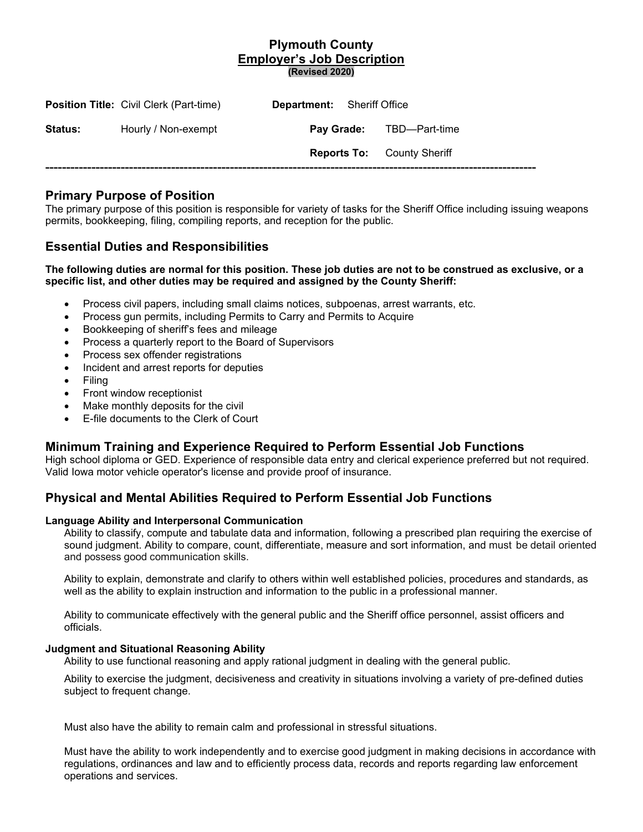### **Plymouth County Employer's Job Description (Revised 2020)**

|                | <b>Position Title: Civil Clerk (Part-time)</b> | <b>Department:</b> Sheriff Office |                                   |
|----------------|------------------------------------------------|-----------------------------------|-----------------------------------|
| <b>Status:</b> | Hourly / Non-exempt                            |                                   | <b>Pay Grade:</b> TBD—Part-time   |
|                |                                                |                                   | <b>Reports To:</b> County Sheriff |
|                |                                                |                                   |                                   |

## **Primary Purpose of Position**

The primary purpose of this position is responsible for variety of tasks for the Sheriff Office including issuing weapons permits, bookkeeping, filing, compiling reports, and reception for the public.

# **Essential Duties and Responsibilities**

### **The following duties are normal for this position. These job duties are not to be construed as exclusive, or a specific list, and other duties may be required and assigned by the County Sheriff:**

- Process civil papers, including small claims notices, subpoenas, arrest warrants, etc.
- Process gun permits, including Permits to Carry and Permits to Acquire
- Bookkeeping of sheriff's fees and mileage
- Process a quarterly report to the Board of Supervisors
- Process sex offender registrations
- Incident and arrest reports for deputies
- Filing
- Front window receptionist
- Make monthly deposits for the civil
- E-file documents to the Clerk of Court

## **Minimum Training and Experience Required to Perform Essential Job Functions**

High school diploma or GED. Experience of responsible data entry and clerical experience preferred but not required. Valid Iowa motor vehicle operator's license and provide proof of insurance.

# **Physical and Mental Abilities Required to Perform Essential Job Functions**

#### **Language Ability and Interpersonal Communication**

Ability to classify, compute and tabulate data and information, following a prescribed plan requiring the exercise of sound judgment. Ability to compare, count, differentiate, measure and sort information, and must be detail oriented and possess good communication skills.

Ability to explain, demonstrate and clarify to others within well established policies, procedures and standards, as well as the ability to explain instruction and information to the public in a professional manner.

Ability to communicate effectively with the general public and the Sheriff office personnel, assist officers and officials.

#### **Judgment and Situational Reasoning Ability**

Ability to use functional reasoning and apply rational judgment in dealing with the general public.

Ability to exercise the judgment, decisiveness and creativity in situations involving a variety of pre-defined duties subject to frequent change.

Must also have the ability to remain calm and professional in stressful situations.

Must have the ability to work independently and to exercise good judgment in making decisions in accordance with regulations, ordinances and law and to efficiently process data, records and reports regarding law enforcement operations and services.